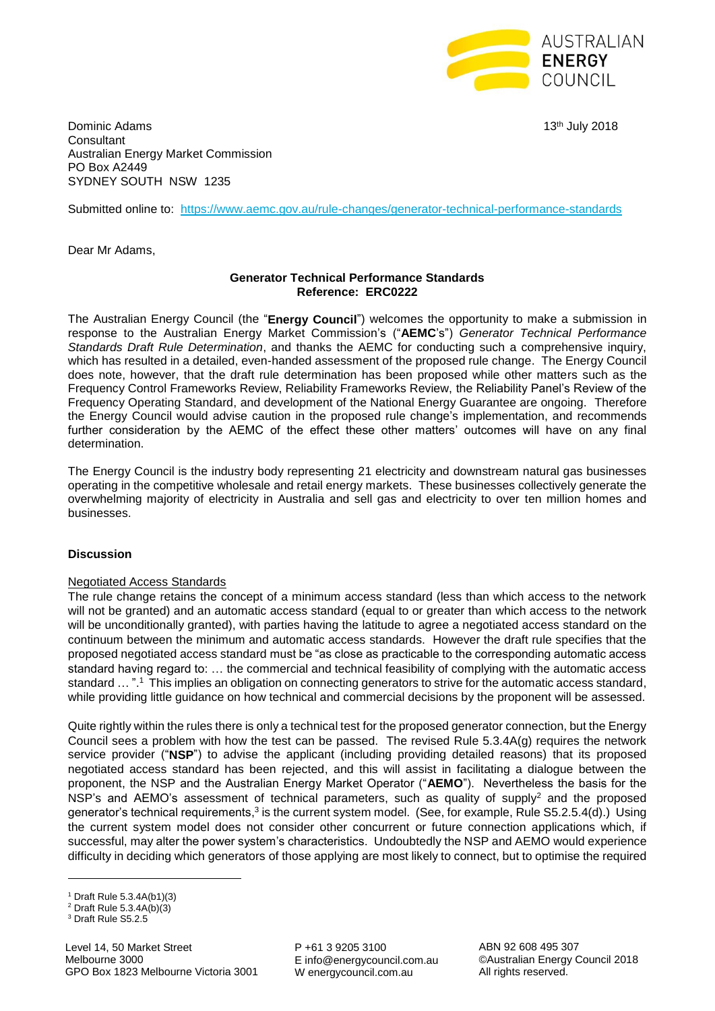

Dominic Adams 13th July 2018 **Consultant** Australian Energy Market Commission PO Box A2449 SYDNEY SOUTH NSW 1235

Submitted online to: <https://www.aemc.gov.au/rule-changes/generator-technical-performance-standards>

Dear Mr Adams,

# **Generator Technical Performance Standards Reference: ERC0222**

The Australian Energy Council (the "**Energy Council**") welcomes the opportunity to make a submission in response to the Australian Energy Market Commission's ("**AEMC**'s") *Generator Technical Performance Standards Draft Rule Determination*, and thanks the AEMC for conducting such a comprehensive inquiry, which has resulted in a detailed, even-handed assessment of the proposed rule change. The Energy Council does note, however, that the draft rule determination has been proposed while other matters such as the Frequency Control Frameworks Review, Reliability Frameworks Review, the Reliability Panel's Review of the Frequency Operating Standard, and development of the National Energy Guarantee are ongoing. Therefore the Energy Council would advise caution in the proposed rule change's implementation, and recommends further consideration by the AEMC of the effect these other matters' outcomes will have on any final determination.

The Energy Council is the industry body representing 21 electricity and downstream natural gas businesses operating in the competitive wholesale and retail energy markets. These businesses collectively generate the overwhelming majority of electricity in Australia and sell gas and electricity to over ten million homes and businesses.

## **Discussion**

## Negotiated Access Standards

The rule change retains the concept of a minimum access standard (less than which access to the network will not be granted) and an automatic access standard (equal to or greater than which access to the network will be unconditionally granted), with parties having the latitude to agree a negotiated access standard on the continuum between the minimum and automatic access standards. However the draft rule specifies that the proposed negotiated access standard must be "as close as practicable to the corresponding automatic access standard having regard to: … the commercial and technical feasibility of complying with the automatic access standard ... ".<sup>1</sup> This implies an obligation on connecting generators to strive for the automatic access standard, while providing little guidance on how technical and commercial decisions by the proponent will be assessed.

Quite rightly within the rules there is only a technical test for the proposed generator connection, but the Energy Council sees a problem with how the test can be passed. The revised Rule 5.3.4A(g) requires the network service provider ("**NSP**") to advise the applicant (including providing detailed reasons) that its proposed negotiated access standard has been rejected, and this will assist in facilitating a dialogue between the proponent, the NSP and the Australian Energy Market Operator ("**AEMO**"). Nevertheless the basis for the NSP's and AEMO's assessment of technical parameters, such as quality of supply<sup>2</sup> and the proposed generator's technical requirements, $3$  is the current system model. (See, for example, Rule S5.2.5.4(d).) Using the current system model does not consider other concurrent or future connection applications which, if successful, may alter the power system's characteristics. Undoubtedly the NSP and AEMO would experience difficulty in deciding which generators of those applying are most likely to connect, but to optimise the required

1

P +61 3 9205 3100 E info@energycouncil.com.au W energycouncil.com.au

ABN 92 608 495 307 ©Australian Energy Council 2018 All rights reserved.

<sup>1</sup> Draft Rule 5.3.4A(b1)(3)

<sup>2</sup> Draft Rule 5.3.4A(b)(3)

<sup>&</sup>lt;sup>3</sup> Draft Rule S5.2.5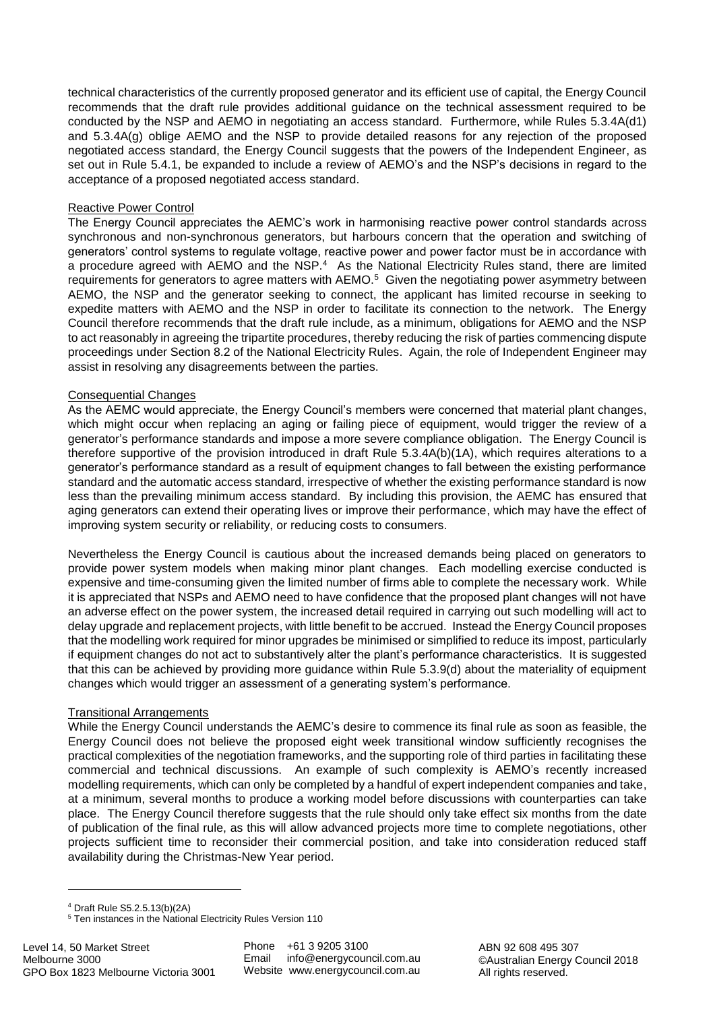technical characteristics of the currently proposed generator and its efficient use of capital, the Energy Council recommends that the draft rule provides additional guidance on the technical assessment required to be conducted by the NSP and AEMO in negotiating an access standard. Furthermore, while Rules 5.3.4A(d1) and 5.3.4A(g) oblige AEMO and the NSP to provide detailed reasons for any rejection of the proposed negotiated access standard, the Energy Council suggests that the powers of the Independent Engineer, as set out in Rule 5.4.1, be expanded to include a review of AEMO's and the NSP's decisions in regard to the acceptance of a proposed negotiated access standard.

## Reactive Power Control

The Energy Council appreciates the AEMC's work in harmonising reactive power control standards across synchronous and non-synchronous generators, but harbours concern that the operation and switching of generators' control systems to regulate voltage, reactive power and power factor must be in accordance with a procedure agreed with AEMO and the NSP.<sup>4</sup> As the National Electricity Rules stand, there are limited requirements for generators to agree matters with AEMO.<sup>5</sup> Given the negotiating power asymmetry between AEMO, the NSP and the generator seeking to connect, the applicant has limited recourse in seeking to expedite matters with AEMO and the NSP in order to facilitate its connection to the network. The Energy Council therefore recommends that the draft rule include, as a minimum, obligations for AEMO and the NSP to act reasonably in agreeing the tripartite procedures, thereby reducing the risk of parties commencing dispute proceedings under Section 8.2 of the National Electricity Rules. Again, the role of Independent Engineer may assist in resolving any disagreements between the parties.

## Consequential Changes

As the AEMC would appreciate, the Energy Council's members were concerned that material plant changes, which might occur when replacing an aging or failing piece of equipment, would trigger the review of a generator's performance standards and impose a more severe compliance obligation. The Energy Council is therefore supportive of the provision introduced in draft Rule 5.3.4A(b)(1A), which requires alterations to a generator's performance standard as a result of equipment changes to fall between the existing performance standard and the automatic access standard, irrespective of whether the existing performance standard is now less than the prevailing minimum access standard. By including this provision, the AEMC has ensured that aging generators can extend their operating lives or improve their performance, which may have the effect of improving system security or reliability, or reducing costs to consumers.

Nevertheless the Energy Council is cautious about the increased demands being placed on generators to provide power system models when making minor plant changes. Each modelling exercise conducted is expensive and time-consuming given the limited number of firms able to complete the necessary work. While it is appreciated that NSPs and AEMO need to have confidence that the proposed plant changes will not have an adverse effect on the power system, the increased detail required in carrying out such modelling will act to delay upgrade and replacement projects, with little benefit to be accrued. Instead the Energy Council proposes that the modelling work required for minor upgrades be minimised or simplified to reduce its impost, particularly if equipment changes do not act to substantively alter the plant's performance characteristics. It is suggested that this can be achieved by providing more guidance within Rule 5.3.9(d) about the materiality of equipment changes which would trigger an assessment of a generating system's performance.

## Transitional Arrangements

While the Energy Council understands the AEMC's desire to commence its final rule as soon as feasible, the Energy Council does not believe the proposed eight week transitional window sufficiently recognises the practical complexities of the negotiation frameworks, and the supporting role of third parties in facilitating these commercial and technical discussions. An example of such complexity is AEMO's recently increased modelling requirements, which can only be completed by a handful of expert independent companies and take, at a minimum, several months to produce a working model before discussions with counterparties can take place. The Energy Council therefore suggests that the rule should only take effect six months from the date of publication of the final rule, as this will allow advanced projects more time to complete negotiations, other projects sufficient time to reconsider their commercial position, and take into consideration reduced staff availability during the Christmas-New Year period.

**.** 

Phone +61 3 9205 3100 Email info@energycouncil.com.au Website www.energycouncil.com.au

ABN 92 608 495 307 ©Australian Energy Council 2018 All rights reserved.

<sup>4</sup> Draft Rule S5.2.5.13(b)(2A)

<sup>&</sup>lt;sup>5</sup> Ten instances in the National Electricity Rules Version 110